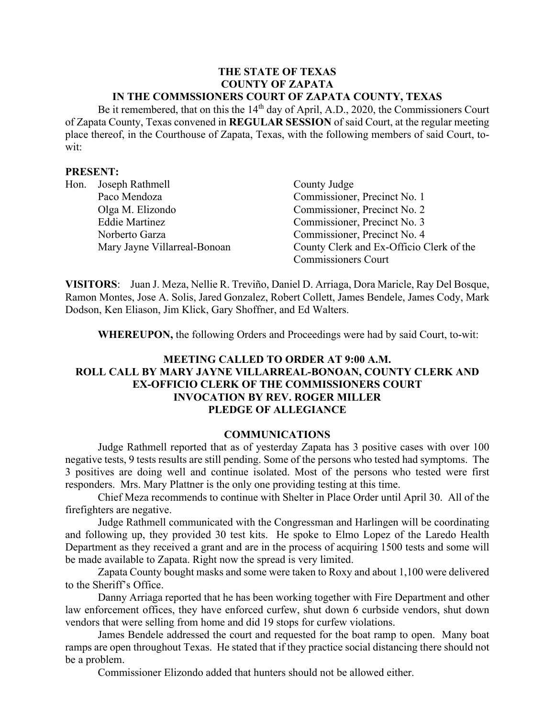#### **THE STATE OF TEXAS COUNTY OF ZAPATA IN THE COMMSSIONERS COURT OF ZAPATA COUNTY, TEXAS**

Be it remembered, that on this the  $14<sup>th</sup>$  day of April, A.D., 2020, the Commissioners Court of Zapata County, Texas convened in **REGULAR SESSION** of said Court, at the regular meeting place thereof, in the Courthouse of Zapata, Texas, with the following members of said Court, towit:

### **PRESENT:**

| Hon. | Joseph Rathmell              | County Judge                             |
|------|------------------------------|------------------------------------------|
|      | Paco Mendoza                 | Commissioner, Precinct No. 1             |
|      | Olga M. Elizondo             | Commissioner, Precinct No. 2             |
|      | <b>Eddie Martinez</b>        | Commissioner, Precinct No. 3             |
|      | Norberto Garza               | Commissioner, Precinct No. 4             |
|      | Mary Jayne Villarreal-Bonoan | County Clerk and Ex-Officio Clerk of the |
|      |                              | <b>Commissioners Court</b>               |

**VISITORS**: Juan J. Meza, Nellie R. Treviño, Daniel D. Arriaga, Dora Maricle, Ray Del Bosque, Ramon Montes, Jose A. Solis, Jared Gonzalez, Robert Collett, James Bendele, James Cody, Mark Dodson, Ken Eliason, Jim Klick, Gary Shoffner, and Ed Walters.

**WHEREUPON,** the following Orders and Proceedings were had by said Court, to-wit:

# **MEETING CALLED TO ORDER AT 9:00 A.M. ROLL CALL BY MARY JAYNE VILLARREAL-BONOAN, COUNTY CLERK AND EX-OFFICIO CLERK OF THE COMMISSIONERS COURT INVOCATION BY REV. ROGER MILLER PLEDGE OF ALLEGIANCE**

#### **COMMUNICATIONS**

Judge Rathmell reported that as of yesterday Zapata has 3 positive cases with over 100 negative tests, 9 tests results are still pending. Some of the persons who tested had symptoms. The 3 positives are doing well and continue isolated. Most of the persons who tested were first responders. Mrs. Mary Plattner is the only one providing testing at this time.

Chief Meza recommends to continue with Shelter in Place Order until April 30. All of the firefighters are negative.

Judge Rathmell communicated with the Congressman and Harlingen will be coordinating and following up, they provided 30 test kits. He spoke to Elmo Lopez of the Laredo Health Department as they received a grant and are in the process of acquiring 1500 tests and some will be made available to Zapata. Right now the spread is very limited.

Zapata County bought masks and some were taken to Roxy and about 1,100 were delivered to the Sheriff's Office.

Danny Arriaga reported that he has been working together with Fire Department and other law enforcement offices, they have enforced curfew, shut down 6 curbside vendors, shut down vendors that were selling from home and did 19 stops for curfew violations.

James Bendele addressed the court and requested for the boat ramp to open. Many boat ramps are open throughout Texas. He stated that if they practice social distancing there should not be a problem.

Commissioner Elizondo added that hunters should not be allowed either.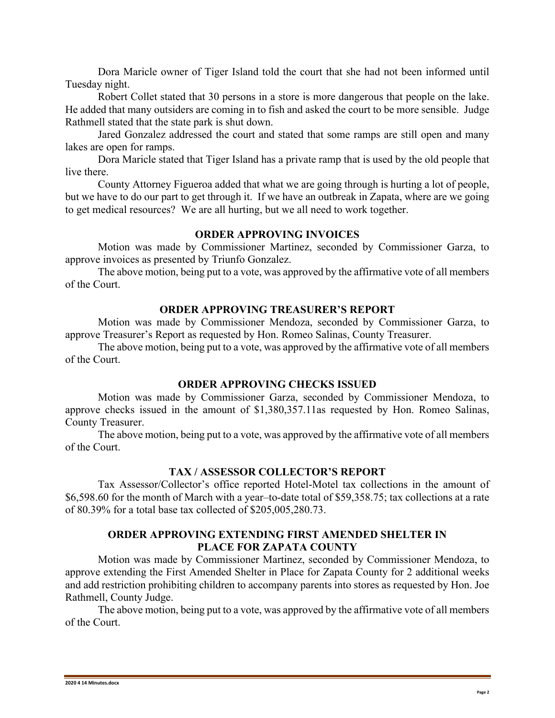Dora Maricle owner of Tiger Island told the court that she had not been informed until Tuesday night.

Robert Collet stated that 30 persons in a store is more dangerous that people on the lake. He added that many outsiders are coming in to fish and asked the court to be more sensible. Judge Rathmell stated that the state park is shut down.

Jared Gonzalez addressed the court and stated that some ramps are still open and many lakes are open for ramps.

Dora Maricle stated that Tiger Island has a private ramp that is used by the old people that live there.

County Attorney Figueroa added that what we are going through is hurting a lot of people, but we have to do our part to get through it. If we have an outbreak in Zapata, where are we going to get medical resources? We are all hurting, but we all need to work together.

## **ORDER APPROVING INVOICES**

Motion was made by Commissioner Martinez, seconded by Commissioner Garza, to approve invoices as presented by Triunfo Gonzalez.

The above motion, being put to a vote, was approved by the affirmative vote of all members of the Court.

#### **ORDER APPROVING TREASURER'S REPORT**

Motion was made by Commissioner Mendoza, seconded by Commissioner Garza, to approve Treasurer's Report as requested by Hon. Romeo Salinas, County Treasurer.

The above motion, being put to a vote, was approved by the affirmative vote of all members of the Court.

#### **ORDER APPROVING CHECKS ISSUED**

Motion was made by Commissioner Garza, seconded by Commissioner Mendoza, to approve checks issued in the amount of \$1,380,357.11as requested by Hon. Romeo Salinas, County Treasurer.

The above motion, being put to a vote, was approved by the affirmative vote of all members of the Court.

#### **TAX / ASSESSOR COLLECTOR'S REPORT**

Tax Assessor/Collector's office reported Hotel-Motel tax collections in the amount of \$6,598.60 for the month of March with a year–to-date total of \$59,358.75; tax collections at a rate of 80.39% for a total base tax collected of \$205,005,280.73.

## **ORDER APPROVING EXTENDING FIRST AMENDED SHELTER IN PLACE FOR ZAPATA COUNTY**

Motion was made by Commissioner Martinez, seconded by Commissioner Mendoza, to approve extending the First Amended Shelter in Place for Zapata County for 2 additional weeks and add restriction prohibiting children to accompany parents into stores as requested by Hon. Joe Rathmell, County Judge.

The above motion, being put to a vote, was approved by the affirmative vote of all members of the Court.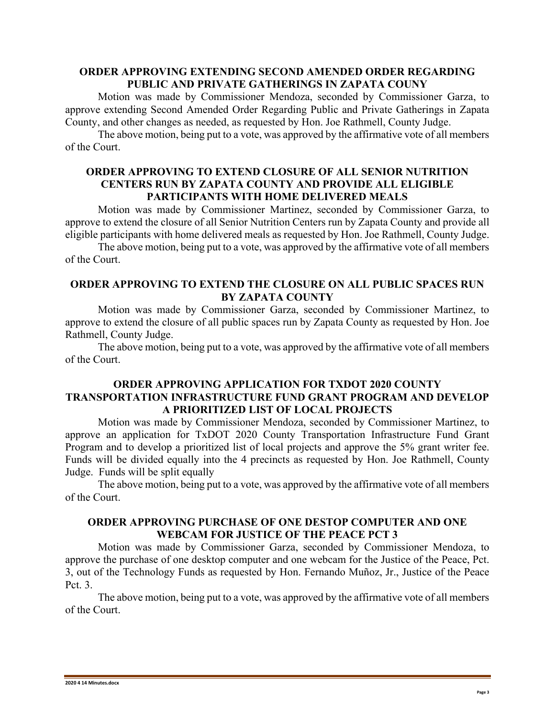## **ORDER APPROVING EXTENDING SECOND AMENDED ORDER REGARDING PUBLIC AND PRIVATE GATHERINGS IN ZAPATA COUNY**

Motion was made by Commissioner Mendoza, seconded by Commissioner Garza, to approve extending Second Amended Order Regarding Public and Private Gatherings in Zapata County, and other changes as needed, as requested by Hon. Joe Rathmell, County Judge.

The above motion, being put to a vote, was approved by the affirmative vote of all members of the Court.

## **ORDER APPROVING TO EXTEND CLOSURE OF ALL SENIOR NUTRITION CENTERS RUN BY ZAPATA COUNTY AND PROVIDE ALL ELIGIBLE PARTICIPANTS WITH HOME DELIVERED MEALS**

Motion was made by Commissioner Martinez, seconded by Commissioner Garza, to approve to extend the closure of all Senior Nutrition Centers run by Zapata County and provide all eligible participants with home delivered meals as requested by Hon. Joe Rathmell, County Judge.

The above motion, being put to a vote, was approved by the affirmative vote of all members of the Court.

## **ORDER APPROVING TO EXTEND THE CLOSURE ON ALL PUBLIC SPACES RUN BY ZAPATA COUNTY**

Motion was made by Commissioner Garza, seconded by Commissioner Martinez, to approve to extend the closure of all public spaces run by Zapata County as requested by Hon. Joe Rathmell, County Judge.

The above motion, being put to a vote, was approved by the affirmative vote of all members of the Court.

## **ORDER APPROVING APPLICATION FOR TXDOT 2020 COUNTY TRANSPORTATION INFRASTRUCTURE FUND GRANT PROGRAM AND DEVELOP A PRIORITIZED LIST OF LOCAL PROJECTS**

Motion was made by Commissioner Mendoza, seconded by Commissioner Martinez, to approve an application for TxDOT 2020 County Transportation Infrastructure Fund Grant Program and to develop a prioritized list of local projects and approve the 5% grant writer fee. Funds will be divided equally into the 4 precincts as requested by Hon. Joe Rathmell, County Judge. Funds will be split equally

The above motion, being put to a vote, was approved by the affirmative vote of all members of the Court.

# **ORDER APPROVING PURCHASE OF ONE DESTOP COMPUTER AND ONE WEBCAM FOR JUSTICE OF THE PEACE PCT 3**

Motion was made by Commissioner Garza, seconded by Commissioner Mendoza, to approve the purchase of one desktop computer and one webcam for the Justice of the Peace, Pct. 3, out of the Technology Funds as requested by Hon. Fernando Muñoz, Jr., Justice of the Peace Pct. 3.

The above motion, being put to a vote, was approved by the affirmative vote of all members of the Court.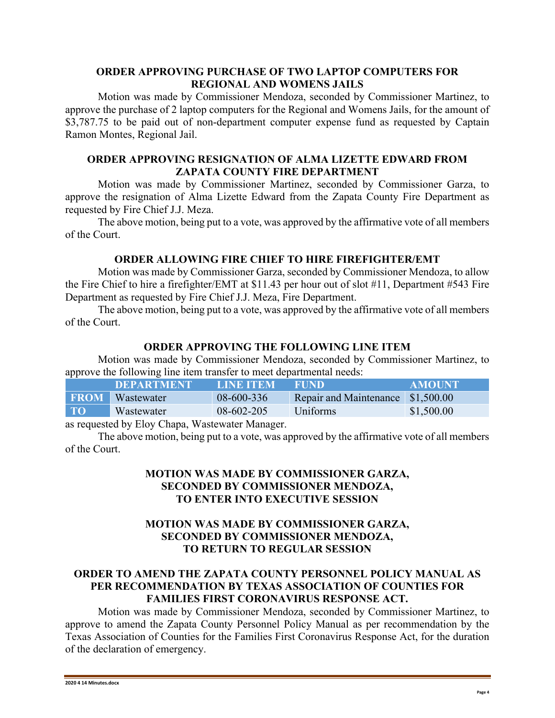## **ORDER APPROVING PURCHASE OF TWO LAPTOP COMPUTERS FOR REGIONAL AND WOMENS JAILS**

Motion was made by Commissioner Mendoza, seconded by Commissioner Martinez, to approve the purchase of 2 laptop computers for the Regional and Womens Jails, for the amount of \$3,787.75 to be paid out of non-department computer expense fund as requested by Captain Ramon Montes, Regional Jail.

## **ORDER APPROVING RESIGNATION OF ALMA LIZETTE EDWARD FROM ZAPATA COUNTY FIRE DEPARTMENT**

Motion was made by Commissioner Martinez, seconded by Commissioner Garza, to approve the resignation of Alma Lizette Edward from the Zapata County Fire Department as requested by Fire Chief J.J. Meza.

The above motion, being put to a vote, was approved by the affirmative vote of all members of the Court.

## **ORDER ALLOWING FIRE CHIEF TO HIRE FIREFIGHTER/EMT**

Motion was made by Commissioner Garza, seconded by Commissioner Mendoza, to allow the Fire Chief to hire a firefighter/EMT at \$11.43 per hour out of slot #11, Department #543 Fire Department as requested by Fire Chief J.J. Meza, Fire Department.

The above motion, being put to a vote, was approved by the affirmative vote of all members of the Court.

#### **ORDER APPROVING THE FOLLOWING LINE ITEM**

Motion was made by Commissioner Mendoza, seconded by Commissioner Martinez, to approve the following line item transfer to meet departmental needs:

|           | <b>DEPARTMENT</b>      | LINE ITEM  | WEIND                             | <b>AMOUNT</b> |
|-----------|------------------------|------------|-----------------------------------|---------------|
|           | <b>FROM</b> Wastewater | 08-600-336 | Repair and Maintenance \$1,500.00 |               |
| <b>TO</b> | Wastewater             | 08-602-205 | Uniforms                          | \$1,500.00    |

as requested by Eloy Chapa, Wastewater Manager.

The above motion, being put to a vote, was approved by the affirmative vote of all members of the Court.

# **MOTION WAS MADE BY COMMISSIONER GARZA, SECONDED BY COMMISSIONER MENDOZA, TO ENTER INTO EXECUTIVE SESSION**

# **MOTION WAS MADE BY COMMISSIONER GARZA, SECONDED BY COMMISSIONER MENDOZA, TO RETURN TO REGULAR SESSION**

# **ORDER TO AMEND THE ZAPATA COUNTY PERSONNEL POLICY MANUAL AS PER RECOMMENDATION BY TEXAS ASSOCIATION OF COUNTIES FOR FAMILIES FIRST CORONAVIRUS RESPONSE ACT.**

Motion was made by Commissioner Mendoza, seconded by Commissioner Martinez, to approve to amend the Zapata County Personnel Policy Manual as per recommendation by the Texas Association of Counties for the Families First Coronavirus Response Act, for the duration of the declaration of emergency.